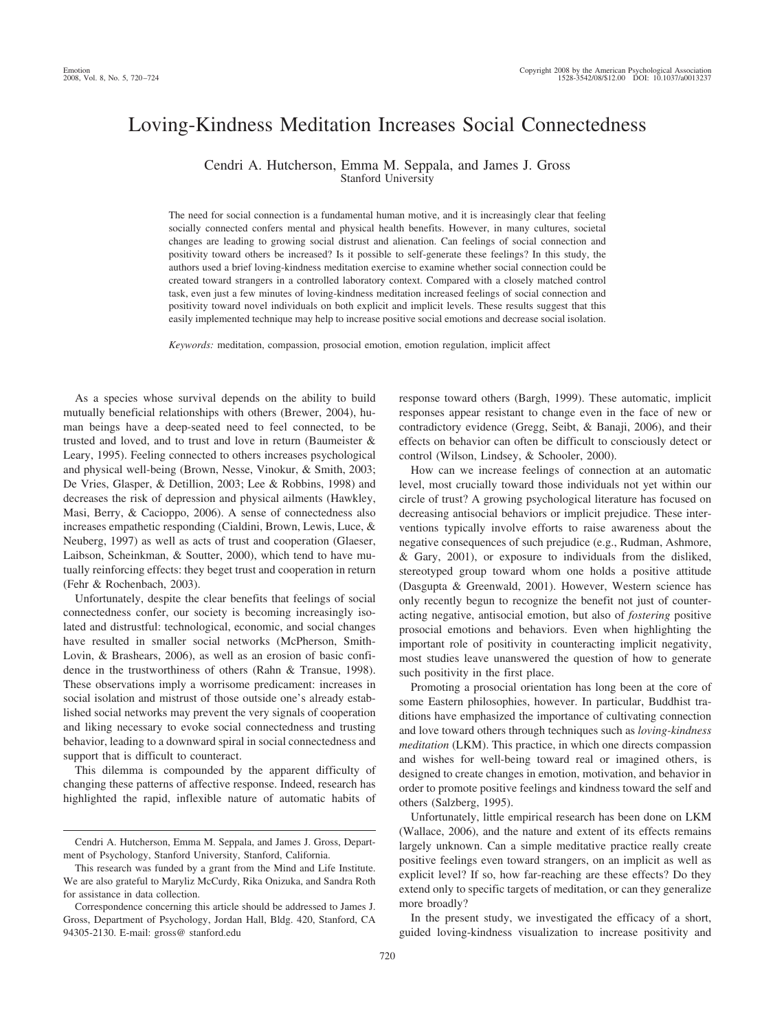# Loving-Kindness Meditation Increases Social Connectedness

Cendri A. Hutcherson, Emma M. Seppala, and James J. Gross Stanford University

The need for social connection is a fundamental human motive, and it is increasingly clear that feeling socially connected confers mental and physical health benefits. However, in many cultures, societal changes are leading to growing social distrust and alienation. Can feelings of social connection and positivity toward others be increased? Is it possible to self-generate these feelings? In this study, the authors used a brief loving-kindness meditation exercise to examine whether social connection could be created toward strangers in a controlled laboratory context. Compared with a closely matched control task, even just a few minutes of loving-kindness meditation increased feelings of social connection and positivity toward novel individuals on both explicit and implicit levels. These results suggest that this easily implemented technique may help to increase positive social emotions and decrease social isolation.

*Keywords:* meditation, compassion, prosocial emotion, emotion regulation, implicit affect

As a species whose survival depends on the ability to build mutually beneficial relationships with others (Brewer, 2004), human beings have a deep-seated need to feel connected, to be trusted and loved, and to trust and love in return (Baumeister & Leary, 1995). Feeling connected to others increases psychological and physical well-being (Brown, Nesse, Vinokur, & Smith, 2003; De Vries, Glasper, & Detillion, 2003; Lee & Robbins, 1998) and decreases the risk of depression and physical ailments (Hawkley, Masi, Berry, & Cacioppo, 2006). A sense of connectedness also increases empathetic responding (Cialdini, Brown, Lewis, Luce, & Neuberg, 1997) as well as acts of trust and cooperation (Glaeser, Laibson, Scheinkman, & Soutter, 2000), which tend to have mutually reinforcing effects: they beget trust and cooperation in return (Fehr & Rochenbach, 2003).

Unfortunately, despite the clear benefits that feelings of social connectedness confer, our society is becoming increasingly isolated and distrustful: technological, economic, and social changes have resulted in smaller social networks (McPherson, Smith-Lovin, & Brashears, 2006), as well as an erosion of basic confidence in the trustworthiness of others (Rahn & Transue, 1998). These observations imply a worrisome predicament: increases in social isolation and mistrust of those outside one's already established social networks may prevent the very signals of cooperation and liking necessary to evoke social connectedness and trusting behavior, leading to a downward spiral in social connectedness and support that is difficult to counteract.

This dilemma is compounded by the apparent difficulty of changing these patterns of affective response. Indeed, research has highlighted the rapid, inflexible nature of automatic habits of

response toward others (Bargh, 1999). These automatic, implicit responses appear resistant to change even in the face of new or contradictory evidence (Gregg, Seibt, & Banaji, 2006), and their effects on behavior can often be difficult to consciously detect or control (Wilson, Lindsey, & Schooler, 2000).

How can we increase feelings of connection at an automatic level, most crucially toward those individuals not yet within our circle of trust? A growing psychological literature has focused on decreasing antisocial behaviors or implicit prejudice. These interventions typically involve efforts to raise awareness about the negative consequences of such prejudice (e.g., Rudman, Ashmore, & Gary, 2001), or exposure to individuals from the disliked, stereotyped group toward whom one holds a positive attitude (Dasgupta & Greenwald, 2001). However, Western science has only recently begun to recognize the benefit not just of counteracting negative, antisocial emotion, but also of *fostering* positive prosocial emotions and behaviors. Even when highlighting the important role of positivity in counteracting implicit negativity, most studies leave unanswered the question of how to generate such positivity in the first place.

Promoting a prosocial orientation has long been at the core of some Eastern philosophies, however. In particular, Buddhist traditions have emphasized the importance of cultivating connection and love toward others through techniques such as *loving-kindness meditation* (LKM). This practice, in which one directs compassion and wishes for well-being toward real or imagined others, is designed to create changes in emotion, motivation, and behavior in order to promote positive feelings and kindness toward the self and others (Salzberg, 1995).

Unfortunately, little empirical research has been done on LKM (Wallace, 2006), and the nature and extent of its effects remains largely unknown. Can a simple meditative practice really create positive feelings even toward strangers, on an implicit as well as explicit level? If so, how far-reaching are these effects? Do they extend only to specific targets of meditation, or can they generalize more broadly?

In the present study, we investigated the efficacy of a short, guided loving-kindness visualization to increase positivity and

Cendri A. Hutcherson, Emma M. Seppala, and James J. Gross, Department of Psychology, Stanford University, Stanford, California.

This research was funded by a grant from the Mind and Life Institute. We are also grateful to Maryliz McCurdy, Rika Onizuka, and Sandra Roth for assistance in data collection.

Correspondence concerning this article should be addressed to James J. Gross, Department of Psychology, Jordan Hall, Bldg. 420, Stanford, CA 94305-2130. E-mail: gross@ stanford.edu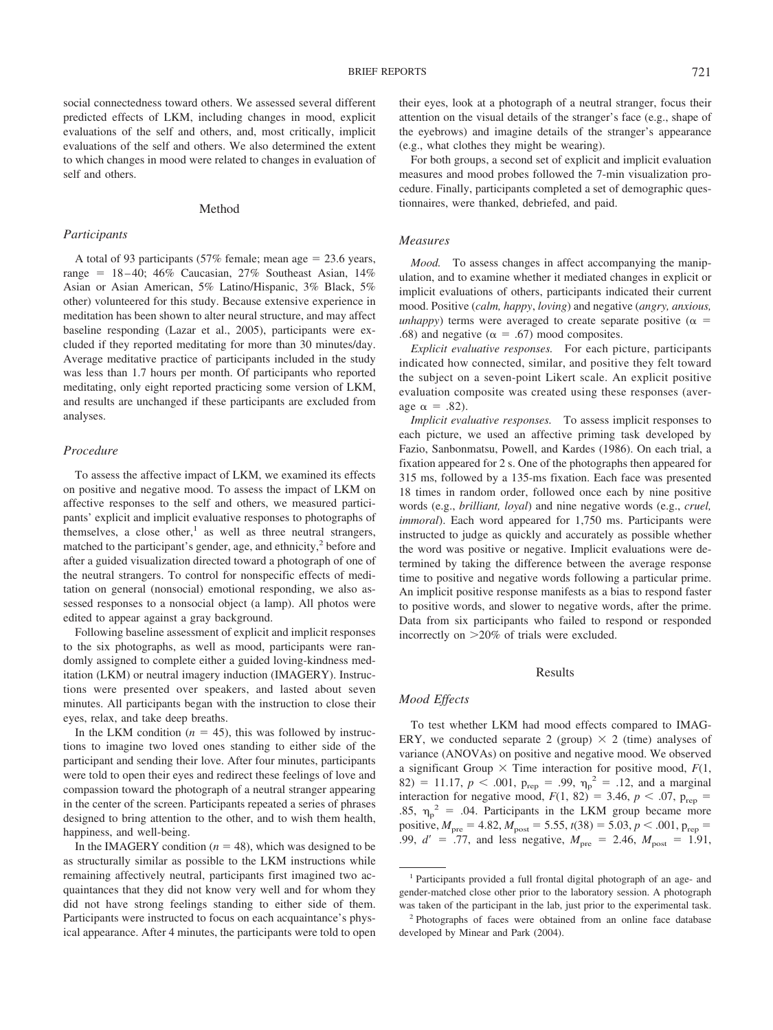social connectedness toward others. We assessed several different predicted effects of LKM, including changes in mood, explicit evaluations of the self and others, and, most critically, implicit evaluations of the self and others. We also determined the extent to which changes in mood were related to changes in evaluation of self and others.

#### Method

### *Participants*

A total of 93 participants (57% female; mean age  $= 23.6$  years, range = 18-40; 46% Caucasian, 27% Southeast Asian, 14% Asian or Asian American, 5% Latino/Hispanic, 3% Black, 5% other) volunteered for this study. Because extensive experience in meditation has been shown to alter neural structure, and may affect baseline responding (Lazar et al., 2005), participants were excluded if they reported meditating for more than 30 minutes/day. Average meditative practice of participants included in the study was less than 1.7 hours per month. Of participants who reported meditating, only eight reported practicing some version of LKM, and results are unchanged if these participants are excluded from analyses.

## *Procedure*

To assess the affective impact of LKM, we examined its effects on positive and negative mood. To assess the impact of LKM on affective responses to the self and others, we measured participants' explicit and implicit evaluative responses to photographs of themselves, a close other, $\frac{1}{1}$  as well as three neutral strangers, matched to the participant's gender, age, and ethnicity, $\lambda$  before and after a guided visualization directed toward a photograph of one of the neutral strangers. To control for nonspecific effects of meditation on general (nonsocial) emotional responding, we also assessed responses to a nonsocial object (a lamp). All photos were edited to appear against a gray background.

Following baseline assessment of explicit and implicit responses to the six photographs, as well as mood, participants were randomly assigned to complete either a guided loving-kindness meditation (LKM) or neutral imagery induction (IMAGERY). Instructions were presented over speakers, and lasted about seven minutes. All participants began with the instruction to close their eyes, relax, and take deep breaths.

In the LKM condition ( $n = 45$ ), this was followed by instructions to imagine two loved ones standing to either side of the participant and sending their love. After four minutes, participants were told to open their eyes and redirect these feelings of love and compassion toward the photograph of a neutral stranger appearing in the center of the screen. Participants repeated a series of phrases designed to bring attention to the other, and to wish them health, happiness, and well-being.

In the IMAGERY condition  $(n = 48)$ , which was designed to be as structurally similar as possible to the LKM instructions while remaining affectively neutral, participants first imagined two acquaintances that they did not know very well and for whom they did not have strong feelings standing to either side of them. Participants were instructed to focus on each acquaintance's physical appearance. After 4 minutes, the participants were told to open their eyes, look at a photograph of a neutral stranger, focus their attention on the visual details of the stranger's face (e.g., shape of the eyebrows) and imagine details of the stranger's appearance (e.g., what clothes they might be wearing).

For both groups, a second set of explicit and implicit evaluation measures and mood probes followed the 7-min visualization procedure. Finally, participants completed a set of demographic questionnaires, were thanked, debriefed, and paid.

#### *Measures*

*Mood.* To assess changes in affect accompanying the manipulation, and to examine whether it mediated changes in explicit or implicit evaluations of others, participants indicated their current mood. Positive (*calm, happy*, *loving*) and negative (*angry, anxious, unhappy*) terms were averaged to create separate positive ( $\alpha$  = .68) and negative ( $\alpha = .67$ ) mood composites.

*Explicit evaluative responses.* For each picture, participants indicated how connected, similar, and positive they felt toward the subject on a seven-point Likert scale. An explicit positive evaluation composite was created using these responses (average  $\alpha = .82$ ).

*Implicit evaluative responses.* To assess implicit responses to each picture, we used an affective priming task developed by Fazio, Sanbonmatsu, Powell, and Kardes (1986). On each trial, a fixation appeared for 2 s. One of the photographs then appeared for 315 ms, followed by a 135-ms fixation. Each face was presented 18 times in random order, followed once each by nine positive words (e.g., *brilliant, loyal*) and nine negative words (e.g., *cruel, immoral*). Each word appeared for 1,750 ms. Participants were instructed to judge as quickly and accurately as possible whether the word was positive or negative. Implicit evaluations were determined by taking the difference between the average response time to positive and negative words following a particular prime. An implicit positive response manifests as a bias to respond faster to positive words, and slower to negative words, after the prime. Data from six participants who failed to respond or responded incorrectly on 20% of trials were excluded.

#### Results

#### *Mood Effects*

To test whether LKM had mood effects compared to IMAG-ERY, we conducted separate 2 (group)  $\times$  2 (time) analyses of variance (ANOVAs) on positive and negative mood. We observed a significant Group  $\times$  Time interaction for positive mood,  $F(1,$ 82) = 11.17,  $p < .001$ ,  $p_{\text{rep}} = .99$ ,  $\eta_p^2 = .12$ , and a marginal interaction for negative mood,  $F(1, 82) = 3.46$ ,  $p < .07$ ,  $p_{\text{rep}} =$ .85,  $\eta_p^2$  = .04. Participants in the LKM group became more positive,  $M_{\text{pre}} = 4.82$ ,  $M_{\text{post}} = 5.55$ ,  $t(38) = 5.03$ ,  $p < .001$ ,  $p_{\text{rep}} =$ .99,  $d' = .77$ , and less negative,  $M_{\text{pre}} = 2.46$ ,  $M_{\text{post}} = 1.91$ ,

<sup>1</sup> Participants provided a full frontal digital photograph of an age- and gender-matched close other prior to the laboratory session. A photograph was taken of the participant in the lab, just prior to the experimental task.

<sup>2</sup> Photographs of faces were obtained from an online face database developed by Minear and Park (2004).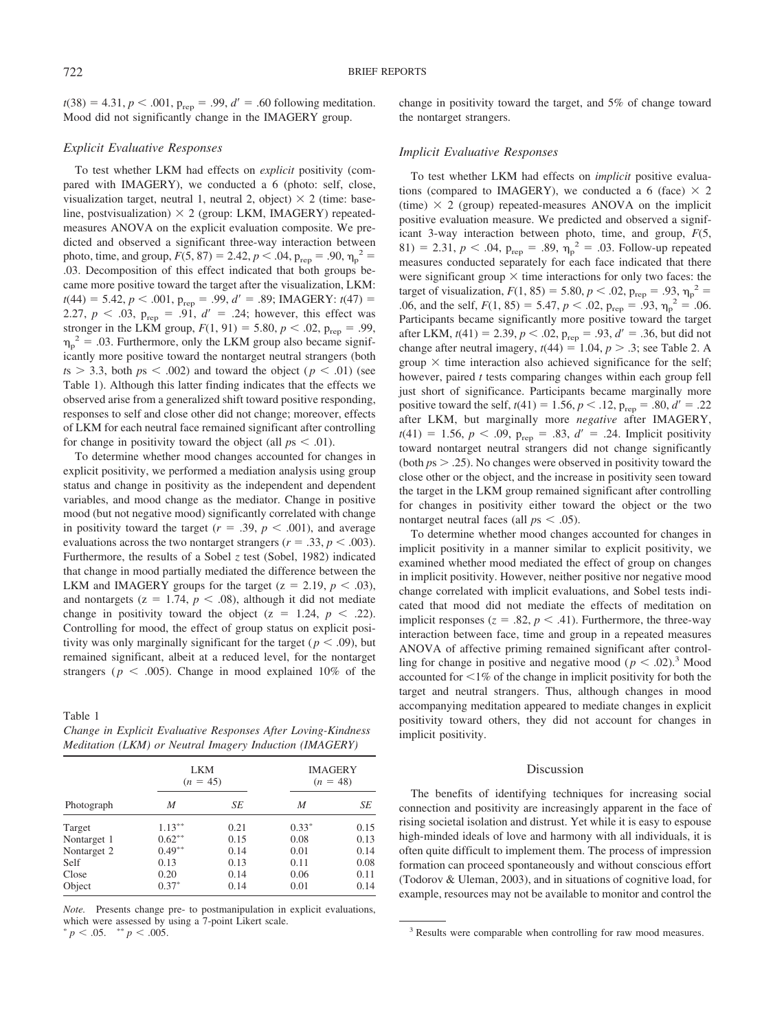$t(38) = 4.31, p < .001, p_{rep} = .99, d' = .60$  following meditation. Mood did not significantly change in the IMAGERY group.

### *Explicit Evaluative Responses*

To test whether LKM had effects on *explicit* positivity (compared with IMAGERY), we conducted a 6 (photo: self, close, visualization target, neutral 1, neutral 2, object)  $\times$  2 (time: baseline, postvisualization)  $\times$  2 (group: LKM, IMAGERY) repeatedmeasures ANOVA on the explicit evaluation composite. We predicted and observed a significant three-way interaction between photo, time, and group,  $F(5, 87) = 2.42$ ,  $p < .04$ ,  $p_{rep} = .90$ ,  $\eta_p^2 =$ .03. Decomposition of this effect indicated that both groups became more positive toward the target after the visualization, LKM:  $t(44) = 5.42, p < .001, p_{rep} = .99, d' = .89$ ; IMAGERY:  $t(47) =$ 2.27,  $p < .03$ ,  $p_{rep} = .91$ ,  $d' = .24$ ; however, this effect was stronger in the LKM group,  $F(1, 91) = 5.80, p < .02, p_{\text{rep}} = .99$ ,  $\eta_p^2$  = .03. Furthermore, only the LKM group also became significantly more positive toward the nontarget neutral strangers (both  $t s > 3.3$ , both  $p s < .002$ ) and toward the object ( $p < .01$ ) (see Table 1). Although this latter finding indicates that the effects we observed arise from a generalized shift toward positive responding, responses to self and close other did not change; moreover, effects of LKM for each neutral face remained significant after controlling for change in positivity toward the object (all  $ps < .01$ ).

To determine whether mood changes accounted for changes in explicit positivity, we performed a mediation analysis using group status and change in positivity as the independent and dependent variables, and mood change as the mediator. Change in positive mood (but not negative mood) significantly correlated with change in positivity toward the target  $(r = .39, p < .001)$ , and average evaluations across the two nontarget strangers ( $r = .33$ ,  $p < .003$ ). Furthermore, the results of a Sobel *z* test (Sobel, 1982) indicated that change in mood partially mediated the difference between the LKM and IMAGERY groups for the target  $(z = 2.19, p < .03)$ , and nontargets ( $z = 1.74$ ,  $p < .08$ ), although it did not mediate change in positivity toward the object  $(z = 1.24, p < .22)$ . Controlling for mood, the effect of group status on explicit positivity was only marginally significant for the target ( $p < .09$ ), but remained significant, albeit at a reduced level, for the nontarget strangers ( $p < .005$ ). Change in mood explained 10% of the

Table 1

*Change in Explicit Evaluative Responses After Loving-Kindness Meditation (LKM) or Neutral Imagery Induction (IMAGERY)*

| Photograph  | <b>LKM</b><br>$(n = 45)$ |      | <b>IMAGERY</b><br>$(n = 48)$ |      |
|-------------|--------------------------|------|------------------------------|------|
|             | M                        | SЕ   | M                            | SE   |
| Target      | $1.13***$                | 0.21 | $0.33*$                      | 0.15 |
| Nontarget 1 | $0.62**$                 | 0.15 | 0.08                         | 0.13 |
| Nontarget 2 | $0.49**$                 | 0.14 | 0.01                         | 0.14 |
| Self        | 0.13                     | 0.13 | 0.11                         | 0.08 |
| Close       | 0.20                     | 0.14 | 0.06                         | 0.11 |
| Object      | $0.37*$                  | 0.14 | 0.01                         | 0.14 |

*Note.* Presents change pre- to postmanipulation in explicit evaluations, which were assessed by using a 7-point Likert scale.  $p < .05.$  \*\*  $p < .005.$ 

change in positivity toward the target, and 5% of change toward the nontarget strangers.

## *Implicit Evaluative Responses*

To test whether LKM had effects on *implicit* positive evaluations (compared to IMAGERY), we conducted a 6 (face)  $\times$  2 (time)  $\times$  2 (group) repeated-measures ANOVA on the implicit positive evaluation measure. We predicted and observed a significant 3-way interaction between photo, time, and group, *F*(5, 81) = 2.31,  $p < .04$ ,  $p_{\text{rep}} = .89$ ,  $\eta_p^2 = .03$ . Follow-up repeated measures conducted separately for each face indicated that there were significant group  $\times$  time interactions for only two faces: the target of visualization,  $F(1, 85) = 5.80, p < .02, p_{\text{rep}} = .93, \eta_p^2 =$ .06, and the self,  $F(1, 85) = 5.47, p < .02, p_{\text{rep}} = .93, \eta_p^2 = .06$ . Participants became significantly more positive toward the target after LKM,  $t(41) = 2.39$ ,  $p < .02$ ,  $p_{rep} = .93$ ,  $d' = .36$ , but did not change after neutral imagery,  $t(44) = 1.04$ ,  $p > .3$ ; see Table 2. A group  $\times$  time interaction also achieved significance for the self; however, paired *t* tests comparing changes within each group fell just short of significance. Participants became marginally more positive toward the self,  $t(41) = 1.56$ ,  $p < .12$ ,  $p_{rep} = .80$ ,  $d' = .22$ after LKM, but marginally more *negative* after IMAGERY,  $t(41) = 1.56, p < .09, p_{rep} = .83, d' = .24.$  Implicit positivity toward nontarget neutral strangers did not change significantly (both  $ps > .25$ ). No changes were observed in positivity toward the close other or the object, and the increase in positivity seen toward the target in the LKM group remained significant after controlling for changes in positivity either toward the object or the two nontarget neutral faces (all  $ps < .05$ ).

To determine whether mood changes accounted for changes in implicit positivity in a manner similar to explicit positivity, we examined whether mood mediated the effect of group on changes in implicit positivity. However, neither positive nor negative mood change correlated with implicit evaluations, and Sobel tests indicated that mood did not mediate the effects of meditation on implicit responses ( $z = .82$ ,  $p < .41$ ). Furthermore, the three-way interaction between face, time and group in a repeated measures ANOVA of affective priming remained significant after controlling for change in positive and negative mood ( $p < .02$ ).<sup>3</sup> Mood accounted for  $\leq 1\%$  of the change in implicit positivity for both the target and neutral strangers. Thus, although changes in mood accompanying meditation appeared to mediate changes in explicit positivity toward others, they did not account for changes in implicit positivity.

#### Discussion

The benefits of identifying techniques for increasing social connection and positivity are increasingly apparent in the face of rising societal isolation and distrust. Yet while it is easy to espouse high-minded ideals of love and harmony with all individuals, it is often quite difficult to implement them. The process of impression formation can proceed spontaneously and without conscious effort (Todorov & Uleman, 2003), and in situations of cognitive load, for example, resources may not be available to monitor and control the

<sup>3</sup> Results were comparable when controlling for raw mood measures.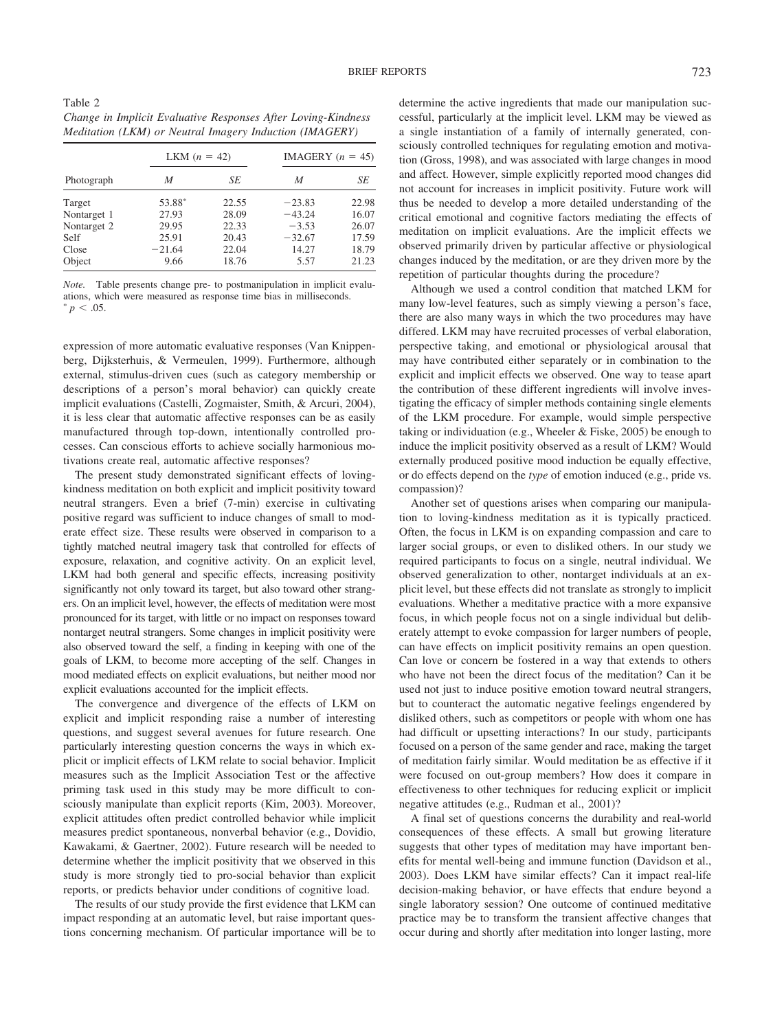| Table 2                                                        |  |
|----------------------------------------------------------------|--|
| Change in Implicit Evaluative Responses After Loving-Kindness  |  |
| <i>Meditation (LKM) or Neutral Imagery Induction (IMAGERY)</i> |  |

| Photograph  | LKM $(n = 42)$ |       | IMAGERY $(n = 45)$ |       |
|-------------|----------------|-------|--------------------|-------|
|             | М              | SE    | М                  | SE    |
| Target      | 53.88*         | 22.55 | $-23.83$           | 22.98 |
| Nontarget 1 | 27.93          | 28.09 | $-43.24$           | 16.07 |
| Nontarget 2 | 29.95          | 22.33 | $-3.53$            | 26.07 |
| Self        | 25.91          | 20.43 | $-32.67$           | 17.59 |
| Close       | $-21.64$       | 22.04 | 14.27              | 18.79 |
| Object      | 9.66           | 18.76 | 5.57               | 21.23 |

*Note.* Table presents change pre- to postmanipulation in implicit evaluations, which were measured as response time bias in milliseconds.  $^{*}p < .05$ .

expression of more automatic evaluative responses (Van Knippenberg, Dijksterhuis, & Vermeulen, 1999). Furthermore, although external, stimulus-driven cues (such as category membership or descriptions of a person's moral behavior) can quickly create implicit evaluations (Castelli, Zogmaister, Smith, & Arcuri, 2004), it is less clear that automatic affective responses can be as easily manufactured through top-down, intentionally controlled processes. Can conscious efforts to achieve socially harmonious motivations create real, automatic affective responses?

The present study demonstrated significant effects of lovingkindness meditation on both explicit and implicit positivity toward neutral strangers. Even a brief (7-min) exercise in cultivating positive regard was sufficient to induce changes of small to moderate effect size. These results were observed in comparison to a tightly matched neutral imagery task that controlled for effects of exposure, relaxation, and cognitive activity. On an explicit level, LKM had both general and specific effects, increasing positivity significantly not only toward its target, but also toward other strangers. On an implicit level, however, the effects of meditation were most pronounced for its target, with little or no impact on responses toward nontarget neutral strangers. Some changes in implicit positivity were also observed toward the self, a finding in keeping with one of the goals of LKM, to become more accepting of the self. Changes in mood mediated effects on explicit evaluations, but neither mood nor explicit evaluations accounted for the implicit effects.

The convergence and divergence of the effects of LKM on explicit and implicit responding raise a number of interesting questions, and suggest several avenues for future research. One particularly interesting question concerns the ways in which explicit or implicit effects of LKM relate to social behavior. Implicit measures such as the Implicit Association Test or the affective priming task used in this study may be more difficult to consciously manipulate than explicit reports (Kim, 2003). Moreover, explicit attitudes often predict controlled behavior while implicit measures predict spontaneous, nonverbal behavior (e.g., Dovidio, Kawakami, & Gaertner, 2002). Future research will be needed to determine whether the implicit positivity that we observed in this study is more strongly tied to pro-social behavior than explicit reports, or predicts behavior under conditions of cognitive load.

The results of our study provide the first evidence that LKM can impact responding at an automatic level, but raise important questions concerning mechanism. Of particular importance will be to determine the active ingredients that made our manipulation successful, particularly at the implicit level. LKM may be viewed as a single instantiation of a family of internally generated, consciously controlled techniques for regulating emotion and motivation (Gross, 1998), and was associated with large changes in mood and affect. However, simple explicitly reported mood changes did not account for increases in implicit positivity. Future work will thus be needed to develop a more detailed understanding of the critical emotional and cognitive factors mediating the effects of meditation on implicit evaluations. Are the implicit effects we observed primarily driven by particular affective or physiological changes induced by the meditation, or are they driven more by the repetition of particular thoughts during the procedure?

Although we used a control condition that matched LKM for many low-level features, such as simply viewing a person's face, there are also many ways in which the two procedures may have differed. LKM may have recruited processes of verbal elaboration, perspective taking, and emotional or physiological arousal that may have contributed either separately or in combination to the explicit and implicit effects we observed. One way to tease apart the contribution of these different ingredients will involve investigating the efficacy of simpler methods containing single elements of the LKM procedure. For example, would simple perspective taking or individuation (e.g., Wheeler & Fiske, 2005) be enough to induce the implicit positivity observed as a result of LKM? Would externally produced positive mood induction be equally effective, or do effects depend on the *type* of emotion induced (e.g., pride vs. compassion)?

Another set of questions arises when comparing our manipulation to loving-kindness meditation as it is typically practiced. Often, the focus in LKM is on expanding compassion and care to larger social groups, or even to disliked others. In our study we required participants to focus on a single, neutral individual. We observed generalization to other, nontarget individuals at an explicit level, but these effects did not translate as strongly to implicit evaluations. Whether a meditative practice with a more expansive focus, in which people focus not on a single individual but deliberately attempt to evoke compassion for larger numbers of people, can have effects on implicit positivity remains an open question. Can love or concern be fostered in a way that extends to others who have not been the direct focus of the meditation? Can it be used not just to induce positive emotion toward neutral strangers, but to counteract the automatic negative feelings engendered by disliked others, such as competitors or people with whom one has had difficult or upsetting interactions? In our study, participants focused on a person of the same gender and race, making the target of meditation fairly similar. Would meditation be as effective if it were focused on out-group members? How does it compare in effectiveness to other techniques for reducing explicit or implicit negative attitudes (e.g., Rudman et al., 2001)?

A final set of questions concerns the durability and real-world consequences of these effects. A small but growing literature suggests that other types of meditation may have important benefits for mental well-being and immune function (Davidson et al., 2003). Does LKM have similar effects? Can it impact real-life decision-making behavior, or have effects that endure beyond a single laboratory session? One outcome of continued meditative practice may be to transform the transient affective changes that occur during and shortly after meditation into longer lasting, more